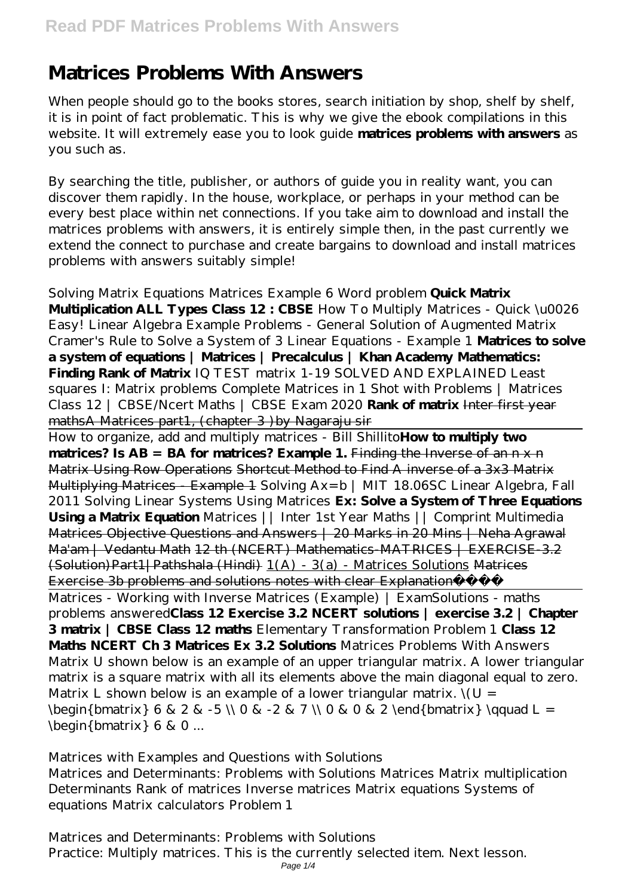# **Matrices Problems With Answers**

When people should go to the books stores, search initiation by shop, shelf by shelf, it is in point of fact problematic. This is why we give the ebook compilations in this website. It will extremely ease you to look guide **matrices problems with answers** as you such as.

By searching the title, publisher, or authors of guide you in reality want, you can discover them rapidly. In the house, workplace, or perhaps in your method can be every best place within net connections. If you take aim to download and install the matrices problems with answers, it is entirely simple then, in the past currently we extend the connect to purchase and create bargains to download and install matrices problems with answers suitably simple!

#### *Solving Matrix Equations Matrices Example 6 Word problem* **Quick Matrix**

**Multiplication ALL Types Class 12 : CBSE** *How To Multiply Matrices - Quick \u0026 Easy! Linear Algebra Example Problems - General Solution of Augmented Matrix Cramer's Rule to Solve a System of 3 Linear Equations - Example 1* **Matrices to solve a system of equations | Matrices | Precalculus | Khan Academy Mathematics: Finding Rank of Matrix** *IQ TEST matrix 1-19 SOLVED AND EXPLAINED Least squares I: Matrix problems Complete Matrices in 1 Shot with Problems | Matrices Class 12 | CBSE/Ncert Maths | CBSE Exam 2020* **Rank of matrix** Inter first year mathsA Matrices part1, (chapter 3) by Nagaraju sir

How to organize, add and multiply matrices - Bill Shillito**How to multiply two** matrices? Is AB = BA for matrices? Example 1. Finding the Inverse of an n x n Matrix Using Row Operations Shortcut Method to Find A inverse of a 3x3 Matrix Multiplying Matrices - Example 1 *Solving Ax=b | MIT 18.06SC Linear Algebra, Fall 2011 Solving Linear Systems Using Matrices* **Ex: Solve a System of Three Equations Using a Matrix Equation** *Matrices || Inter 1st Year Maths || Comprint Multimedia* Matrices Objective Questions and Answers | 20 Marks in 20 Mins | Neha Agrawal Ma'am | Vedantu Math 12 th (NCERT) Mathematics-MATRICES | EXERCISE-3.2 (Solution)Part1|Pathshala (Hindi) 1(A) - 3(a) - Matrices Solutions Matrices Exercise 3b problems and solutions notes with clear Explanation Matrices - Working with Inverse Matrices (Example) | ExamSolutions - maths problems answered**Class 12 Exercise 3.2 NCERT solutions | exercise 3.2 | Chapter 3 matrix | CBSE Class 12 maths** Elementary Transformation Problem 1 **Class 12 Maths NCERT Ch 3 Matrices Ex 3.2 Solutions** *Matrices Problems With Answers* Matrix U shown below is an example of an upper triangular matrix. A lower triangular matrix is a square matrix with all its elements above the main diagonal equal to zero. Matrix L shown below is an example of a lower triangular matrix.  $\forall U =$ \begin{bmatrix} 6 & 2 & -5 \\ 0 & -2 & 7 \\ 0 & 0 & 2 \end{bmatrix} \qquad L =  $\begin{bmatrix}$  begin{bmatrix} 6 & 0 ...

#### *Matrices with Examples and Questions with Solutions*

Matrices and Determinants: Problems with Solutions Matrices Matrix multiplication Determinants Rank of matrices Inverse matrices Matrix equations Systems of equations Matrix calculators Problem 1

## *Matrices and Determinants: Problems with Solutions*

Practice: Multiply matrices. This is the currently selected item. Next lesson.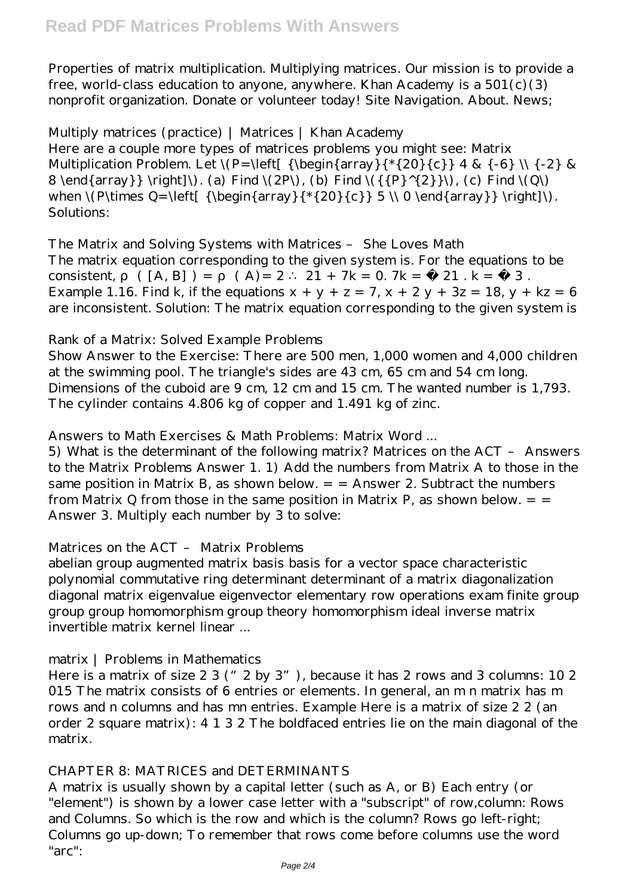Properties of matrix multiplication. Multiplying matrices. Our mission is to provide a free, world-class education to anyone, anywhere. Khan Academy is a  $501(c)(3)$ nonprofit organization. Donate or volunteer today! Site Navigation. About. News;

## *Multiply matrices (practice) | Matrices | Khan Academy*

Here are a couple more types of matrices problems you might see: Matrix Multiplication Problem. Let  $\{P=\left\{ {\begin{array}{c} {*\{20\} {\ c}} \end{array} A \& {-\frac{3}{2}} \& \}$ 8 \end{array} \tight]\. (a) Find \(2P\), (b) Find \({{P}^{2}}\), (c) Find \(Q\) when  $\{\Phi$  \times Q=  $\left[ {\begin{array}{c} {*(20)}{c} } 5 \ \ 0 \ \end{array} \right]\$  \right]\. Solutions:

## *The Matrix and Solving Systems with Matrices – She Loves Math*

The matrix equation corresponding to the given system is. For the equations to be consistent,  $([A, B]) = (A) = 2 \cdot 21 + 7k = 0.7k = -21$ .  $k = -3$ . Example 1.16. Find k, if the equations  $x + y + z = 7$ ,  $x + 2y + 3z = 18$ ,  $y + kz = 6$ are inconsistent. Solution: The matrix equation corresponding to the given system is

## *Rank of a Matrix: Solved Example Problems*

Show Answer to the Exercise: There are 500 men, 1,000 women and 4,000 children at the swimming pool. The triangle's sides are 43 cm, 65 cm and 54 cm long. Dimensions of the cuboid are 9 cm, 12 cm and 15 cm. The wanted number is 1,793. The cylinder contains 4.806 kg of copper and 1.491 kg of zinc.

## *Answers to Math Exercises & Math Problems: Matrix Word ...*

5) What is the determinant of the following matrix? Matrices on the ACT – Answers to the Matrix Problems Answer 1. 1) Add the numbers from Matrix A to those in the same position in Matrix B, as shown below.  $=$   $=$  Answer 2. Subtract the numbers from Matrix Q from those in the same position in Matrix P, as shown below.  $=$   $=$ Answer 3. Multiply each number by 3 to solve:

## *Matrices on the ACT – Matrix Problems*

abelian group augmented matrix basis basis for a vector space characteristic polynomial commutative ring determinant determinant of a matrix diagonalization diagonal matrix eigenvalue eigenvector elementary row operations exam finite group group group homomorphism group theory homomorphism ideal inverse matrix invertible matrix kernel linear ...

## *matrix | Problems in Mathematics*

Here is a matrix of size 2 3 (" 2 by 3"), because it has 2 rows and 3 columns: 10 2 015 The matrix consists of 6 entries or elements. In general, an m n matrix has m rows and n columns and has mn entries. Example Here is a matrix of size 2 2 (an order 2 square matrix): 4 1 3 2 The boldfaced entries lie on the main diagonal of the matrix.

## *CHAPTER 8: MATRICES and DETERMINANTS*

A matrix is usually shown by a capital letter (such as A, or B) Each entry (or "element") is shown by a lower case letter with a "subscript" of row,column: Rows and Columns. So which is the row and which is the column? Rows go left-right; Columns go up-down; To remember that rows come before columns use the word "arc":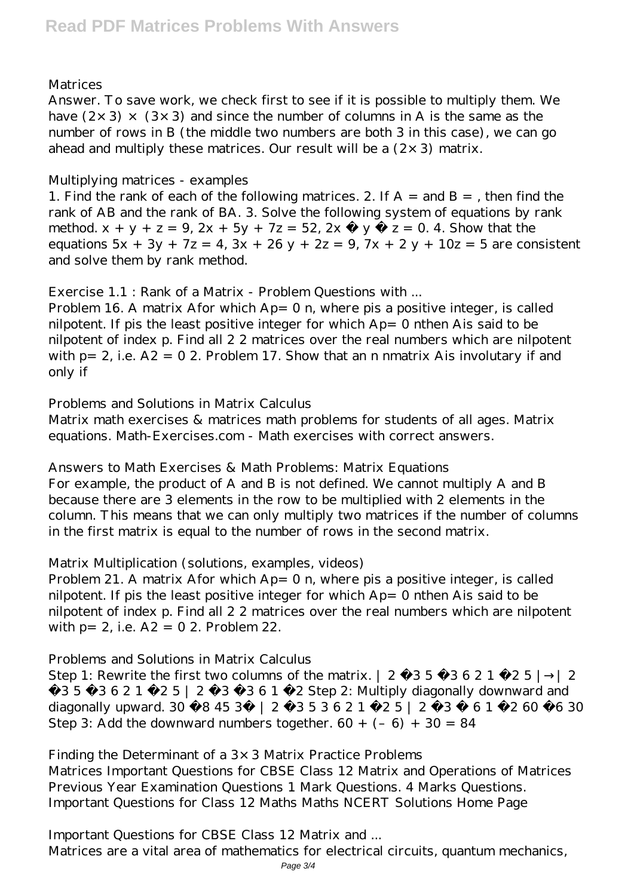## *Matrices*

Answer. To save work, we check first to see if it is possible to multiply them. We have  $(2 \times 3) \times (3 \times 3)$  and since the number of columns in A is the same as the number of rows in B (the middle two numbers are both 3 in this case), we can go ahead and multiply these matrices. Our result will be a  $(2 \times 3)$  matrix.

#### *Multiplying matrices - examples*

1. Find the rank of each of the following matrices. 2. If  $A =$  and  $B =$ , then find the rank of AB and the rank of BA. 3. Solve the following system of equations by rank method.  $x + y + z = 9$ ,  $2x + 5y + 7z = 52$ ,  $2x - y - z = 0$ . 4. Show that the equations  $5x + 3y + 7z = 4$ ,  $3x + 26y + 2z = 9$ ,  $7x + 2y + 10z = 5$  are consistent and solve them by rank method.

## *Exercise 1.1 : Rank of a Matrix - Problem Questions with ...*

Problem 16. A matrix Afor which  $Ap = 0$  n, where pis a positive integer, is called nilpotent. If pis the least positive integer for which Ap= 0 nthen Ais said to be nilpotent of index p. Find all 2 2 matrices over the real numbers which are nilpotent with  $p= 2$ , i.e.  $A2 = 02$ . Problem 17. Show that an n nmatrix Ais involutary if and only if

## *Problems and Solutions in Matrix Calculus*

Matrix math exercises & matrices math problems for students of all ages. Matrix equations. Math-Exercises.com - Math exercises with correct answers.

## *Answers to Math Exercises & Math Problems: Matrix Equations*

For example, the product of A and B is not defined. We cannot multiply A and B because there are 3 elements in the row to be multiplied with 2 elements in the column. This means that we can only multiply two matrices if the number of columns in the first matrix is equal to the number of rows in the second matrix.

## *Matrix Multiplication (solutions, examples, videos)*

Problem 21. A matrix Afor which Ap= 0 n, where pis a positive integer, is called nilpotent. If pis the least positive integer for which Ap= 0 nthen Ais said to be nilpotent of index p. Find all 2 2 matrices over the real numbers which are nilpotent with p= 2, i.e. A2 = 0 2. Problem 22.

## *Problems and Solutions in Matrix Calculus*

Step 1: Rewrite the first two columns of the matrix.  $| 2 - 3 5 - 3 6 2 1 - 2 5 |$ −3 5 −3 6 2 1 −2 5 | 2 −3 −3 6 1 −2 Step 2: Multiply diagonally downward and diagonally upward.  $30 - 8453 - 2012 - 353621 - 2522 - 61 - 260 - 630$ Step 3: Add the downward numbers together.  $60 + (-6) + 30 = 84$ 

## *Finding the Determinant of a 3×3 Matrix Practice Problems*

Matrices Important Questions for CBSE Class 12 Matrix and Operations of Matrices Previous Year Examination Questions 1 Mark Questions. 4 Marks Questions. Important Questions for Class 12 Maths Maths NCERT Solutions Home Page

## *Important Questions for CBSE Class 12 Matrix and ...*

Matrices are a vital area of mathematics for electrical circuits, quantum mechanics,